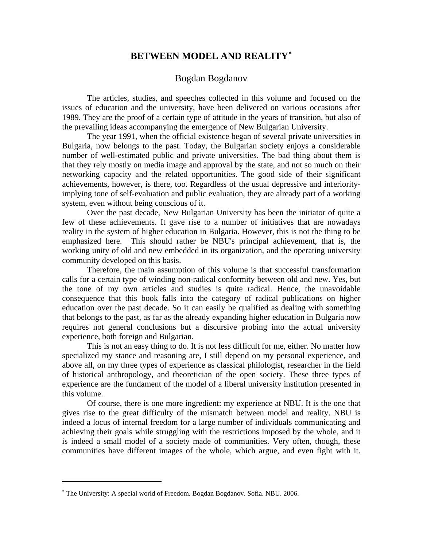## **BETWEEN MODEL AND REALITY**[∗](#page-0-0)

## Bogdan Bogdanov

The articles, studies, and speeches collected in this volume and focused on the issues of education and the university, have been delivered on various occasions after 1989. They are the proof of a certain type of attitude in the years of transition, but also of the prevailing ideas accompanying the emergence of New Bulgarian University.

The year 1991, when the official existence began of several private universities in Bulgaria, now belongs to the past. Today, the Bulgarian society enjoys a considerable number of well-estimated public and private universities. The bad thing about them is that they rely mostly on media image and approval by the state, and not so much on their networking capacity and the related opportunities. The good side of their significant achievements, however, is there, too. Regardless of the usual depressive and inferiorityimplying tone of self-evaluation and public evaluation, they are already part of a working system, even without being conscious of it.

Over the past decade, New Bulgarian University has been the initiator of quite a few of these achievements. It gave rise to a number of initiatives that are nowadays reality in the system of higher education in Bulgaria. However, this is not the thing to be emphasized here. This should rather be NBU's principal achievement, that is, the working unity of old and new embedded in its organization, and the operating university community developed on this basis.

Therefore, the main assumption of this volume is that successful transformation calls for a certain type of winding non-radical conformity between old and new. Yes, but the tone of my own articles and studies is quite radical. Hence, the unavoidable consequence that this book falls into the category of radical publications on higher education over the past decade. So it can easily be qualified as dealing with something that belongs to the past, as far as the already expanding higher education in Bulgaria now requires not general conclusions but a discursive probing into the actual university experience, both foreign and Bulgarian.

This is not an easy thing to do. It is not less difficult for me, either. No matter how specialized my stance and reasoning are, I still depend on my personal experience, and above all, on my three types of experience as classical philologist, researcher in the field of historical anthropology, and theoretician of the open society. These three types of experience are the fundament of the model of a liberal university institution presented in this volume.

Of course, there is one more ingredient: my experience at NBU. It is the one that gives rise to the great difficulty of the mismatch between model and reality. NBU is indeed a locus of internal freedom for a large number of individuals communicating and achieving their goals while struggling with the restrictions imposed by the whole, and it is indeed a small model of a society made of communities. Very often, though, these communities have different images of the whole, which argue, and even fight with it.

 $\overline{a}$ 

<span id="page-0-0"></span><sup>∗</sup> The University: A special world of Freedom. Bogdan Bogdanov. Sofia. NBU. 2006.